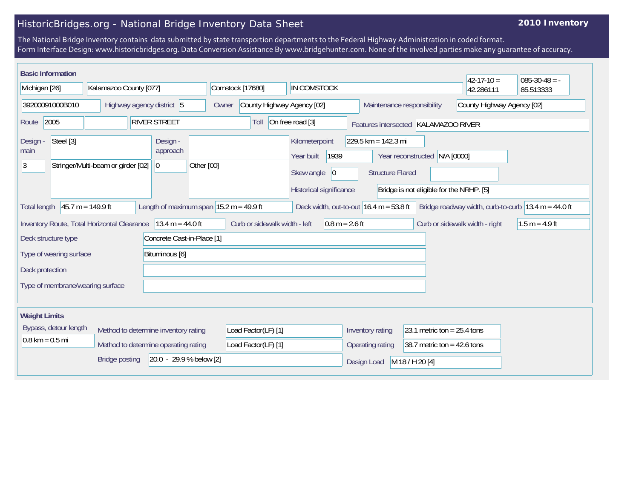## HistoricBridges.org - National Bridge Inventory Data Sheet

## **2010 Inventory**

The National Bridge Inventory contains data submitted by state transportion departments to the Federal Highway Administration in coded format. Form Interface Design: www.historicbridges.org. Data Conversion Assistance By www.bridgehunter.com. None of the involved parties make any guarantee of accuracy.

| <b>Basic Information</b>                                          |                                                                                                                                                                                                           |                                    |                                      |                                                   |                            |                                                                                              |                                                  |                                                                | $42 - 17 - 10 =$           | $085 - 30 - 48 = -$ |
|-------------------------------------------------------------------|-----------------------------------------------------------------------------------------------------------------------------------------------------------------------------------------------------------|------------------------------------|--------------------------------------|---------------------------------------------------|----------------------------|----------------------------------------------------------------------------------------------|--------------------------------------------------|----------------------------------------------------------------|----------------------------|---------------------|
| Michigan [26]                                                     |                                                                                                                                                                                                           | Kalamazoo County [077]             |                                      | Comstock [17680]                                  |                            | IN COMSTOCK                                                                                  |                                                  |                                                                | 42.286111                  | 85.513333           |
| 39200091000B010                                                   |                                                                                                                                                                                                           |                                    | Highway agency district 5            | Owner                                             | County Highway Agency [02] |                                                                                              |                                                  | Maintenance responsibility                                     | County Highway Agency [02] |                     |
| 2005<br>Route                                                     |                                                                                                                                                                                                           |                                    | <b>RIVER STREET</b>                  |                                                   | Toll                       | On free road [3]                                                                             | Features intersected KALAMAZOO RIVER             |                                                                |                            |                     |
| Design -<br>main<br>13                                            | Steel [3]                                                                                                                                                                                                 | Stringer/Multi-beam or girder [02] | Design -<br>approach<br> 0           | Other [00]                                        |                            | Kilometerpoint<br>1939<br>Year built<br>Skew angle<br>$ 0\rangle$<br>Historical significance | $229.5$ km = 142.3 mi<br><b>Structure Flared</b> | Year reconstructed<br>Bridge is not eligible for the NRHP. [5] | N/A [0000]                 |                     |
| <b>Total length</b>                                               | Length of maximum span $ 15.2 m = 49.9 ft$<br>$45.7 m = 149.9 ft$<br>Deck width, out-to-out $16.4 \text{ m} = 53.8 \text{ ft}$<br>Bridge roadway width, curb-to-curb $ 13.4 \text{ m} = 44.0 \text{ ft} $ |                                    |                                      |                                                   |                            |                                                                                              |                                                  |                                                                |                            |                     |
| $13.4 m = 44.0 ft$<br>Inventory Route, Total Horizontal Clearance |                                                                                                                                                                                                           |                                    |                                      | Curb or sidewalk width - left<br>$0.8 m = 2.6 ft$ |                            |                                                                                              | Curb or sidewalk width - right                   | $1.5 m = 4.9 ft$                                               |                            |                     |
| Deck structure type                                               |                                                                                                                                                                                                           |                                    | Concrete Cast-in-Place [1]           |                                                   |                            |                                                                                              |                                                  |                                                                |                            |                     |
| Type of wearing surface                                           |                                                                                                                                                                                                           |                                    | Bituminous [6]                       |                                                   |                            |                                                                                              |                                                  |                                                                |                            |                     |
| Deck protection                                                   |                                                                                                                                                                                                           |                                    |                                      |                                                   |                            |                                                                                              |                                                  |                                                                |                            |                     |
| Type of membrane/wearing surface                                  |                                                                                                                                                                                                           |                                    |                                      |                                                   |                            |                                                                                              |                                                  |                                                                |                            |                     |
| <b>Weight Limits</b>                                              |                                                                                                                                                                                                           |                                    |                                      |                                                   |                            |                                                                                              |                                                  |                                                                |                            |                     |
| Bypass, detour length<br>Method to determine inventory rating     |                                                                                                                                                                                                           |                                    |                                      | Load Factor(LF) [1]                               |                            | Inventory rating                                                                             | 23.1 metric ton = $25.4$ tons                    |                                                                |                            |                     |
| $0.8 \text{ km} = 0.5 \text{ mi}$                                 |                                                                                                                                                                                                           |                                    | Method to determine operating rating |                                                   | Load Factor(LF) [1]        |                                                                                              | Operating rating                                 | 38.7 metric ton = $42.6$ tons                                  |                            |                     |
|                                                                   |                                                                                                                                                                                                           | <b>Bridge posting</b>              | 20.0 - 29.9 % below [2]              |                                                   |                            |                                                                                              | Design Load                                      | M 18 / H 20 [4]                                                |                            |                     |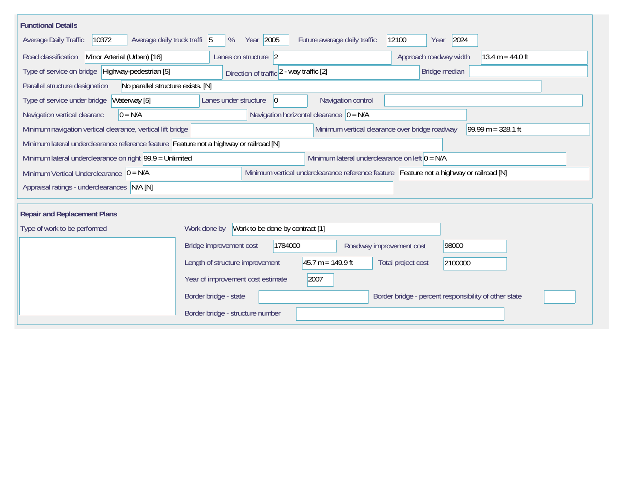| <b>Functional Details</b>                                                                                                             |                                                                                         |  |  |  |  |  |  |  |  |
|---------------------------------------------------------------------------------------------------------------------------------------|-----------------------------------------------------------------------------------------|--|--|--|--|--|--|--|--|
| Average daily truck traffi 5<br>10372<br>Average Daily Traffic                                                                        | Year 2005<br>2024<br>12100<br>Future average daily traffic<br>%<br>Year                 |  |  |  |  |  |  |  |  |
| Minor Arterial (Urban) [16]<br>Road classification                                                                                    | Lanes on structure 2<br>Approach roadway width<br>13.4 m = $44.0$ ft                    |  |  |  |  |  |  |  |  |
| Type of service on bridge Highway-pedestrian [5]                                                                                      | Bridge median<br>Direction of traffic 2 - way traffic [2]                               |  |  |  |  |  |  |  |  |
| No parallel structure exists. [N]<br>Parallel structure designation                                                                   |                                                                                         |  |  |  |  |  |  |  |  |
| Waterway [5]<br>Type of service under bridge                                                                                          | 0 <br>Navigation control<br>Lanes under structure                                       |  |  |  |  |  |  |  |  |
| Navigation horizontal clearance $ 0 = N/A$<br>$0 = N/A$<br>Navigation vertical clearanc                                               |                                                                                         |  |  |  |  |  |  |  |  |
| 99.99 m = $328.1$ ft<br>Minimum vertical clearance over bridge roadway<br>Minimum navigation vertical clearance, vertical lift bridge |                                                                                         |  |  |  |  |  |  |  |  |
| Minimum lateral underclearance reference feature Feature not a highway or railroad [N]                                                |                                                                                         |  |  |  |  |  |  |  |  |
| Minimum lateral underclearance on left $0 = N/A$<br>Minimum lateral underclearance on right 99.9 = Unlimited                          |                                                                                         |  |  |  |  |  |  |  |  |
| Minimum Vertical Underclearance $ 0 = N/A $                                                                                           | Minimum vertical underclearance reference feature Feature not a highway or railroad [N] |  |  |  |  |  |  |  |  |
| Appraisal ratings - underclearances N/A [N]                                                                                           |                                                                                         |  |  |  |  |  |  |  |  |
|                                                                                                                                       |                                                                                         |  |  |  |  |  |  |  |  |
| <b>Repair and Replacement Plans</b>                                                                                                   |                                                                                         |  |  |  |  |  |  |  |  |
| Type of work to be performed                                                                                                          | Work to be done by contract [1]<br>Work done by                                         |  |  |  |  |  |  |  |  |
|                                                                                                                                       | 1784000<br>98000<br>Bridge improvement cost<br>Roadway improvement cost                 |  |  |  |  |  |  |  |  |
|                                                                                                                                       | $45.7 m = 149.9 ft$<br>Length of structure improvement<br>Total project cost<br>2100000 |  |  |  |  |  |  |  |  |
|                                                                                                                                       | Year of improvement cost estimate<br>2007                                               |  |  |  |  |  |  |  |  |
|                                                                                                                                       | Border bridge - state<br>Border bridge - percent responsibility of other state          |  |  |  |  |  |  |  |  |
|                                                                                                                                       | Border bridge - structure number                                                        |  |  |  |  |  |  |  |  |